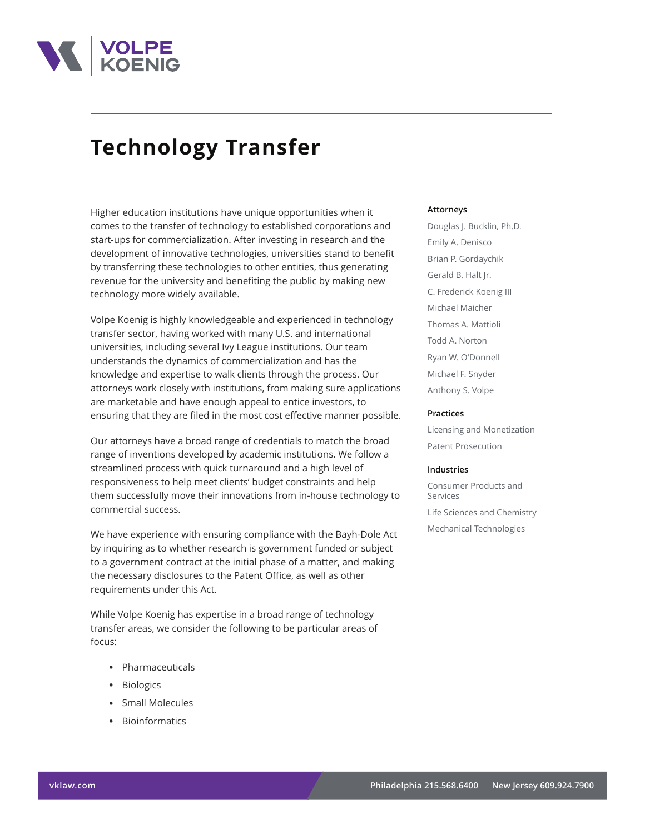

# **Technology Transfer**

Higher education institutions have unique opportunities when it comes to the transfer of technology to established corporations and start-ups for commercialization. After investing in research and the development of innovative technologies, universities stand to benefit by transferring these technologies to other entities, thus generating revenue for the university and benefiting the public by making new technology more widely available.

Volpe Koenig is highly knowledgeable and experienced in technology transfer sector, having worked with many U.S. and international universities, including several Ivy League institutions. Our team understands the dynamics of commercialization and has the knowledge and expertise to walk clients through the process. Our attorneys work closely with institutions, from making sure applications are marketable and have enough appeal to entice investors, to ensuring that they are filed in the most cost effective manner possible.

Our attorneys have a broad range of credentials to match the broad range of inventions developed by academic institutions. We follow a streamlined process with quick turnaround and a high level of responsiveness to help meet clients' budget constraints and help them successfully move their innovations from in-house technology to commercial success.

We have experience with ensuring compliance with the Bayh-Dole Act by inquiring as to whether research is government funded or subject to a government contract at the initial phase of a matter, and making the necessary disclosures to the Patent Office, as well as other requirements under this Act.

While Volpe Koenig has expertise in a broad range of technology transfer areas, we consider the following to be particular areas of focus:

- Pharmaceuticals
- Biologics
- Small Molecules
- **Bioinformatics**

#### **Attorneys**

Douglas J. Bucklin, Ph.D. Emily A. Denisco Brian P. Gordaychik Gerald B. Halt Jr. C. Frederick Koenig III Michael Maicher Thomas A. Mattioli Todd A. Norton Ryan W. O'Donnell Michael F. Snyder Anthony S. Volpe

#### **Practices**

Licensing and Monetization Patent Prosecution

### **Industries**

Consumer Products and Services Life Sciences and Chemistry Mechanical Technologies